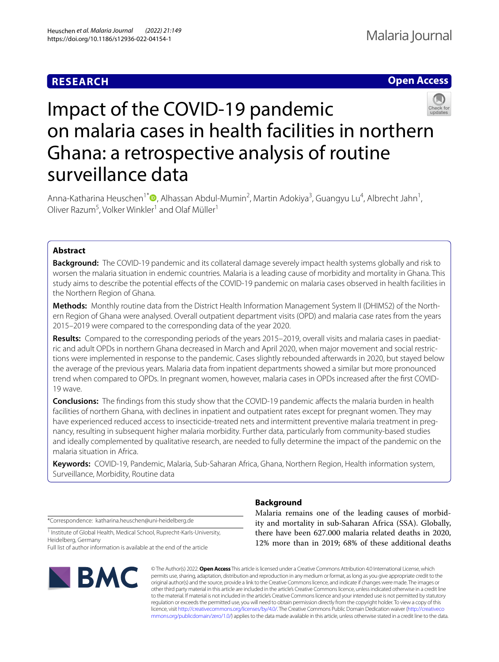## **RESEARCH**





# Impact of the COVID-19 pandemic on malaria cases in health facilities in northern Ghana: a retrospective analysis of routine surveillance data

Anna-Katharina Heuschen<sup>1\*</sup><sup>®</sup>[,](http://orcid.org/0000-0001-9921-6562) Alhassan Abdul-Mumin<sup>2</sup>, Martin Adokiya<sup>3</sup>, Guangyu Lu<sup>4</sup>, Albrecht Jahn<sup>1</sup>, Oliver Razum<sup>5</sup>, Volker Winkler<sup>1</sup> and Olaf Müller<sup>1</sup>

## **Abstract**

**Background:** The COVID-19 pandemic and its collateral damage severely impact health systems globally and risk to worsen the malaria situation in endemic countries. Malaria is a leading cause of morbidity and mortality in Ghana. This study aims to describe the potential efects of the COVID-19 pandemic on malaria cases observed in health facilities in the Northern Region of Ghana.

**Methods:** Monthly routine data from the District Health Information Management System II (DHIMS2) of the North‑ ern Region of Ghana were analysed. Overall outpatient department visits (OPD) and malaria case rates from the years 2015–2019 were compared to the corresponding data of the year 2020.

Results: Compared to the corresponding periods of the years 2015–2019, overall visits and malaria cases in paediatric and adult OPDs in northern Ghana decreased in March and April 2020, when major movement and social restric‑ tions were implemented in response to the pandemic. Cases slightly rebounded afterwards in 2020, but stayed below the average of the previous years. Malaria data from inpatient departments showed a similar but more pronounced trend when compared to OPDs. In pregnant women, however, malaria cases in OPDs increased after the frst COVID-19 wave.

**Conclusions:** The fndings from this study show that the COVID-19 pandemic afects the malaria burden in health facilities of northern Ghana, with declines in inpatient and outpatient rates except for pregnant women. They may have experienced reduced access to insecticide-treated nets and intermittent preventive malaria treatment in pregnancy, resulting in subsequent higher malaria morbidity. Further data, particularly from community-based studies and ideally complemented by qualitative research, are needed to fully determine the impact of the pandemic on the malaria situation in Africa.

**Keywords:** COVID-19, Pandemic, Malaria, Sub-Saharan Africa, Ghana, Northern Region, Health information system, Surveillance, Morbidity, Routine data

\*Correspondence: katharina.heuschen@uni-heidelberg.de

<sup>1</sup> Institute of Global Health, Medical School, Ruprecht-Karls-University, Heidelberg, Germany

Full list of author information is available at the end of the article



## **Background**

Malaria remains one of the leading causes of morbidity and mortality in sub-Saharan Africa (SSA). Globally, there have been 627.000 malaria related deaths in 2020, 12% more than in 2019; 68% of these additional deaths

© The Author(s) 2022. **Open Access** This article is licensed under a Creative Commons Attribution 4.0 International License, which permits use, sharing, adaptation, distribution and reproduction in any medium or format, as long as you give appropriate credit to the original author(s) and the source, provide a link to the Creative Commons licence, and indicate if changes were made. The images or other third party material in this article are included in the article's Creative Commons licence, unless indicated otherwise in a credit line to the material. If material is not included in the article's Creative Commons licence and your intended use is not permitted by statutory regulation or exceeds the permitted use, you will need to obtain permission directly from the copyright holder. To view a copy of this licence, visit [http://creativecommons.org/licenses/by/4.0/.](http://creativecommons.org/licenses/by/4.0/) The Creative Commons Public Domain Dedication waiver ([http://creativeco](http://creativecommons.org/publicdomain/zero/1.0/) [mmons.org/publicdomain/zero/1.0/](http://creativecommons.org/publicdomain/zero/1.0/)) applies to the data made available in this article, unless otherwise stated in a credit line to the data.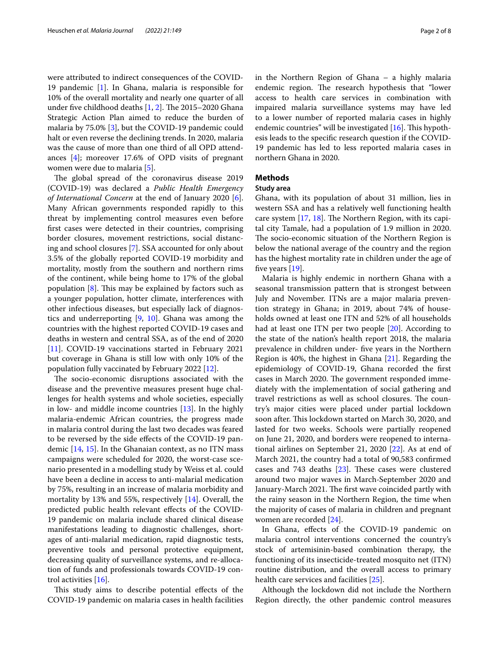were attributed to indirect consequences of the COVID-19 pandemic [\[1](#page-6-0)]. In Ghana, malaria is responsible for 10% of the overall mortality and nearly one quarter of all under five childhood deaths  $[1, 2]$  $[1, 2]$  $[1, 2]$  $[1, 2]$ . The 2015–2020 Ghana Strategic Action Plan aimed to reduce the burden of malaria by 75.0% [[3\]](#page-6-2), but the COVID-19 pandemic could halt or even reverse the declining trends. In 2020, malaria was the cause of more than one third of all OPD attendances [\[4](#page-6-3)]; moreover 17.6% of OPD visits of pregnant women were due to malaria [\[5](#page-6-4)].

The global spread of the coronavirus disease 2019 (COVID-19) was declared a *Public Health Emergency of International Concern* at the end of January 2020 [\[6](#page-6-5)]. Many African governments responded rapidly to this threat by implementing control measures even before frst cases were detected in their countries, comprising border closures, movement restrictions, social distancing and school closures [[7\]](#page-6-6). SSA accounted for only about 3.5% of the globally reported COVID-19 morbidity and mortality, mostly from the southern and northern rims of the continent, while being home to 17% of the global population  $[8]$  $[8]$  $[8]$ . This may be explained by factors such as a younger population, hotter climate, interferences with other infectious diseases, but especially lack of diagnostics and underreporting [\[9](#page-6-8), [10](#page-6-9)]. Ghana was among the countries with the highest reported COVID-19 cases and deaths in western and central SSA, as of the end of 2020 [[11\]](#page-6-10). COVID-19 vaccinations started in February 2021 but coverage in Ghana is still low with only 10% of the population fully vaccinated by February 2022 [[12\]](#page-6-11).

The socio-economic disruptions associated with the disease and the preventive measures present huge challenges for health systems and whole societies, especially in low- and middle income countries [\[13](#page-6-12)]. In the highly malaria-endemic African countries, the progress made in malaria control during the last two decades was feared to be reversed by the side efects of the COVID-19 pandemic [[14](#page-6-13), [15](#page-6-14)]. In the Ghanaian context, as no ITN mass campaigns were scheduled for 2020, the worst-case scenario presented in a modelling study by Weiss et al. could have been a decline in access to anti-malarial medication by 75%, resulting in an increase of malaria morbidity and mortality by 13% and 55%, respectively [[14\]](#page-6-13). Overall, the predicted public health relevant efects of the COVID-19 pandemic on malaria include shared clinical disease manifestations leading to diagnostic challenges, shortages of anti-malarial medication, rapid diagnostic tests, preventive tools and personal protective equipment, decreasing quality of surveillance systems, and re-allocation of funds and professionals towards COVID-19 control activities [\[16](#page-6-15)].

This study aims to describe potential effects of the COVID-19 pandemic on malaria cases in health facilities in the Northern Region of Ghana – a highly malaria endemic region. The research hypothesis that "lower" access to health care services in combination with impaired malaria surveillance systems may have led to a lower number of reported malaria cases in highly endemic countries" will be investigated  $[16]$  $[16]$ . This hypothesis leads to the specifc research question if the COVID-19 pandemic has led to less reported malaria cases in northern Ghana in 2020.

### **Methods**

#### **Study area**

Ghana, with its population of about 31 million, lies in western SSA and has a relatively well functioning health care system  $[17, 18]$  $[17, 18]$  $[17, 18]$  $[17, 18]$  $[17, 18]$ . The Northern Region, with its capital city Tamale, had a population of 1.9 million in 2020. The socio-economic situation of the Northern Region is below the national average of the country and the region has the highest mortality rate in children under the age of five years [[19\]](#page-6-18).

Malaria is highly endemic in northern Ghana with a seasonal transmission pattern that is strongest between July and November. ITNs are a major malaria prevention strategy in Ghana; in 2019, about 74% of households owned at least one ITN and 52% of all households had at least one ITN per two people [[20](#page-6-19)]. According to the state of the nation's health report 2018, the malaria prevalence in children under- fve years in the Northern Region is 40%, the highest in Ghana [\[21](#page-6-20)]. Regarding the epidemiology of COVID-19, Ghana recorded the frst cases in March 2020. The government responded immediately with the implementation of social gathering and travel restrictions as well as school closures. The country's major cities were placed under partial lockdown soon after. This lockdown started on March 30, 2020, and lasted for two weeks. Schools were partially reopened on June 21, 2020, and borders were reopened to international airlines on September 21, 2020 [\[22\]](#page-6-21). As at end of March 2021, the country had a total of 90,583 confrmed cases and 743 deaths  $[23]$  $[23]$  $[23]$ . These cases were clustered around two major waves in March-September 2020 and January-March 2021. The first wave coincided partly with the rainy season in the Northern Region, the time when the majority of cases of malaria in children and pregnant women are recorded [\[24](#page-6-23)].

In Ghana, efects of the COVID-19 pandemic on malaria control interventions concerned the country's stock of artemisinin-based combination therapy, the functioning of its insecticide-treated mosquito net (ITN) routine distribution, and the overall access to primary health care services and facilities [[25](#page-6-24)].

Although the lockdown did not include the Northern Region directly, the other pandemic control measures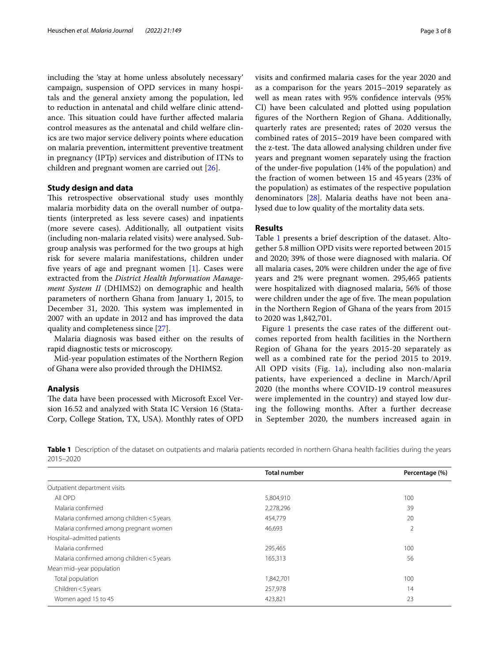including the 'stay at home unless absolutely necessary' campaign, suspension of OPD services in many hospitals and the general anxiety among the population, led to reduction in antenatal and child welfare clinic attendance. This situation could have further affected malaria control measures as the antenatal and child welfare clinics are two major service delivery points where education on malaria prevention, intermittent preventive treatment in pregnancy (IPTp) services and distribution of ITNs to children and pregnant women are carried out [[26](#page-6-25)].

#### **Study design and data**

This retrospective observational study uses monthly malaria morbidity data on the overall number of outpatients (interpreted as less severe cases) and inpatients (more severe cases). Additionally, all outpatient visits (including non-malaria related visits) were analysed. Subgroup analysis was performed for the two groups at high risk for severe malaria manifestations, children under fve years of age and pregnant women [[1\]](#page-6-0). Cases were extracted from the *District Health Information Management System II* (DHIMS2) on demographic and health parameters of northern Ghana from January 1, 2015, to December 31, 2020. This system was implemented in 2007 with an update in 2012 and has improved the data quality and completeness since [\[27](#page-6-26)].

Malaria diagnosis was based either on the results of rapid diagnostic tests or microscopy.

Mid-year population estimates of the Northern Region of Ghana were also provided through the DHIMS2.

#### **Analysis**

The data have been processed with Microsoft Excel Version 16.52 and analyzed with Stata IC Version 16 (Stata-Corp, College Station, TX, USA). Monthly rates of OPD visits and confrmed malaria cases for the year 2020 and as a comparison for the years 2015–2019 separately as well as mean rates with 95% confdence intervals (95% CI) have been calculated and plotted using population fgures of the Northern Region of Ghana. Additionally, quarterly rates are presented; rates of 2020 versus the combined rates of 2015–2019 have been compared with the z-test. The data allowed analysing children under five years and pregnant women separately using the fraction of the under-fve population (14% of the population) and the fraction of women between 15 and 45 years (23% of the population) as estimates of the respective population denominators [\[28\]](#page-6-27). Malaria deaths have not been analysed due to low quality of the mortality data sets.

#### **Results**

Table [1](#page-2-0) presents a brief description of the dataset. Altogether 5.8 million OPD visits were reported between 2015 and 2020; 39% of those were diagnosed with malaria. Of all malaria cases, 20% were children under the age of fve years and 2% were pregnant women. 295,465 patients were hospitalized with diagnosed malaria, 56% of those were children under the age of five. The mean population in the Northern Region of Ghana of the years from 2015 to 2020 was 1,842,701.

Figure [1](#page-3-0) presents the case rates of the different outcomes reported from health facilities in the Northern Region of Ghana for the years 2015-20 separately as well as a combined rate for the period 2015 to 2019. All OPD visits (Fig. [1a](#page-3-0)), including also non-malaria patients, have experienced a decline in March/April 2020 (the months where COVID-19 control measures were implemented in the country) and stayed low during the following months. After a further decrease in September 2020, the numbers increased again in

<span id="page-2-0"></span>**Table 1** Description of the dataset on outpatients and malaria patients recorded in northern Ghana health facilities during the years 2015–2020

|                                            | <b>Total number</b> | Percentage (%) |
|--------------------------------------------|---------------------|----------------|
| Outpatient department visits               |                     |                |
| All OPD                                    | 5,804,910           | 100            |
| Malaria confirmed                          | 2,278,296           | 39             |
| Malaria confirmed among children < 5 years | 454,779             | 20             |
| Malaria confirmed among pregnant women     | 46,693              | 2              |
| Hospital-admitted patients                 |                     |                |
| Malaria confirmed                          | 295,465             | 100            |
| Malaria confirmed among children < 5 years | 165,313             | 56             |
| Mean mid-year population                   |                     |                |
| Total population                           | 1,842,701           | 100            |
| Children $<$ 5 years                       | 257,978             | 14             |
| Women aged 15 to 45                        | 423,821             | 23             |
|                                            |                     |                |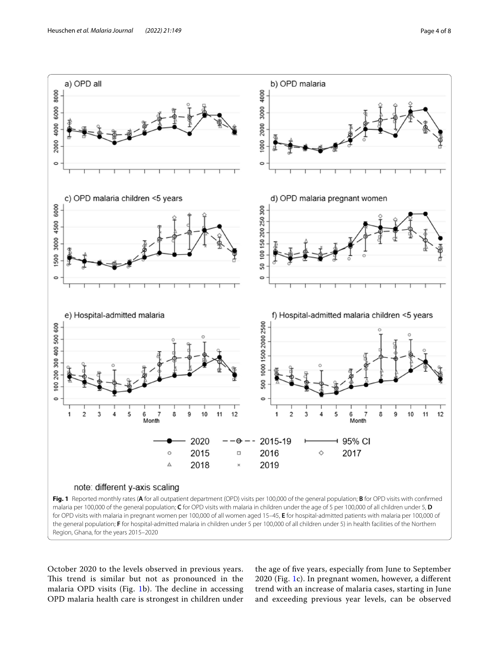

<span id="page-3-0"></span>October 2020 to the levels observed in previous years. This trend is similar but not as pronounced in the malaria OPD visits (Fig. [1](#page-3-0)b). The decline in accessing OPD malaria health care is strongest in children under

the age of fve years, especially from June to September 2020 (Fig. [1](#page-3-0)c). In pregnant women, however, a diferent trend with an increase of malaria cases, starting in June and exceeding previous year levels, can be observed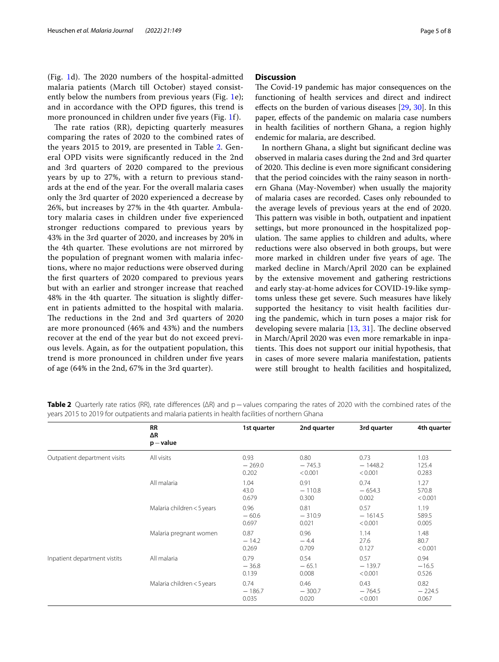(Fig. [1d](#page-3-0)). The 2020 numbers of the hospital-admitted malaria patients (March till October) stayed consist-ently below the numbers from previous years (Fig. [1](#page-3-0)e); and in accordance with the OPD fgures, this trend is more pronounced in children under five years (Fig. [1f](#page-3-0)).

The rate ratios  $(RR)$ , depicting quarterly measures comparing the rates of 2020 to the combined rates of the years 2015 to 2019, are presented in Table [2.](#page-4-0) General OPD visits were signifcantly reduced in the 2nd and 3rd quarters of 2020 compared to the previous years by up to 27%, with a return to previous standards at the end of the year. For the overall malaria cases only the 3rd quarter of 2020 experienced a decrease by 26%, but increases by 27% in the 4th quarter. Ambulatory malaria cases in children under fve experienced stronger reductions compared to previous years by 43% in the 3rd quarter of 2020, and increases by 20% in the 4th quarter. These evolutions are not mirrored by the population of pregnant women with malaria infections, where no major reductions were observed during the frst quarters of 2020 compared to previous years but with an earlier and stronger increase that reached 48% in the 4th quarter. The situation is slightly different in patients admitted to the hospital with malaria. The reductions in the 2nd and 3rd quarters of 2020 are more pronounced (46% and 43%) and the numbers recover at the end of the year but do not exceed previous levels. Again, as for the outpatient population, this trend is more pronounced in children under fve years of age (64% in the 2nd, 67% in the 3rd quarter).

#### **Discussion**

The Covid-19 pandemic has major consequences on the functioning of health services and direct and indirect efects on the burden of various diseases [[29,](#page-6-28) [30\]](#page-6-29). In this paper, efects of the pandemic on malaria case numbers in health facilities of northern Ghana, a region highly endemic for malaria, are described.

In northern Ghana, a slight but signifcant decline was observed in malaria cases during the 2nd and 3rd quarter of 2020. This decline is even more significant considering that the period coincides with the rainy season in northern Ghana (May-November) when usually the majority of malaria cases are recorded. Cases only rebounded to the average levels of previous years at the end of 2020. This pattern was visible in both, outpatient and inpatient settings, but more pronounced in the hospitalized population. The same applies to children and adults, where reductions were also observed in both groups, but were more marked in children under five years of age. The marked decline in March/April 2020 can be explained by the extensive movement and gathering restrictions and early stay-at-home advices for COVID-19-like symptoms unless these get severe. Such measures have likely supported the hesitancy to visit health facilities during the pandemic, which in turn poses a major risk for developing severe malaria  $[13, 31]$  $[13, 31]$  $[13, 31]$  $[13, 31]$  $[13, 31]$ . The decline observed in March/April 2020 was even more remarkable in inpatients. This does not support our initial hypothesis, that in cases of more severe malaria manifestation, patients were still brought to health facilities and hospitalized,

|                              | <b>RR</b><br>ΔR<br>$p$ – value | 1st quarter               | 2nd quarter                 | 3rd quarter                  | 4th quarter               |
|------------------------------|--------------------------------|---------------------------|-----------------------------|------------------------------|---------------------------|
| Outpatient department visits | All visits                     | 0.93<br>$-269.0$<br>0.202 | 0.80<br>$-745.3$<br>< 0.001 | 0.73<br>$-1448.2$<br>< 0.001 | 1.03<br>125.4<br>0.283    |
|                              | All malaria                    | 1.04<br>43.0<br>0.679     | 0.91<br>$-110.8$<br>0.300   | 0.74<br>$-654.3$<br>0.002    | 1.27<br>570.8<br>< 0.001  |
|                              | Malaria children < 5 years     | 0.96<br>$-60.6$<br>0.697  | 0.81<br>$-310.9$<br>0.021   | 0.57<br>$-1614.5$<br>< 0.001 | 1.19<br>589.5<br>0.005    |
|                              | Malaria pregnant women         | 0.87<br>$-14.2$<br>0.269  | 0.96<br>$-4.4$<br>0.709     | 1.14<br>27.6<br>0.127        | 1.48<br>80.7<br>< 0.001   |
| Inpatient department vistits | All malaria                    | 0.79<br>$-36.8$<br>0.139  | 0.54<br>$-65.1$<br>0.008    | 0.57<br>$-139.7$<br>< 0.001  | 0.94<br>$-16.5$<br>0.526  |
|                              | Malaria children < 5 years     | 0.74<br>$-186.7$<br>0.035 | 0.46<br>$-300.7$<br>0.020   | 0.43<br>$-764.5$<br>< 0.001  | 0.82<br>$-224.5$<br>0.067 |

<span id="page-4-0"></span>**Table 2** Quarterly rate ratios (RR), rate differences (ΔR) and p−values comparing the rates of 2020 with the combined rates of the years 2015 to 2019 for outpatients and malaria patients in health facilities of northern Ghana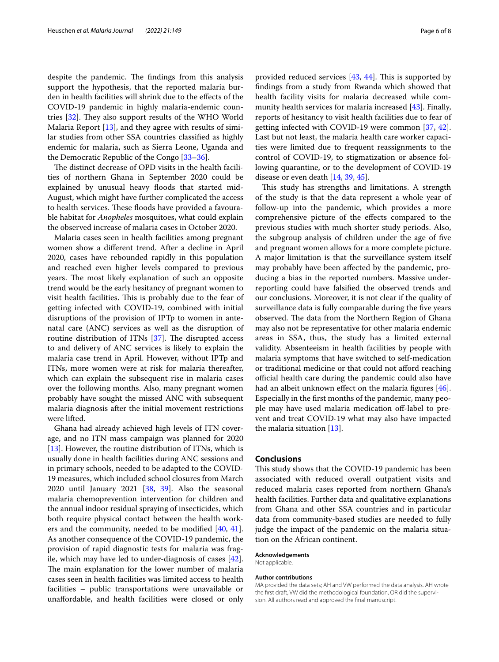despite the pandemic. The findings from this analysis support the hypothesis, that the reported malaria burden in health facilities will shrink due to the efects of the COVID-19 pandemic in highly malaria-endemic countries  $[32]$  $[32]$ . They also support results of the WHO World Malaria Report [[13](#page-6-12)], and they agree with results of similar studies from other SSA countries classifed as highly endemic for malaria, such as Sierra Leone, Uganda and the Democratic Republic of the Congo [\[33](#page-6-32)–[36\]](#page-7-0).

The distinct decrease of OPD visits in the health facilities of northern Ghana in September 2020 could be explained by unusual heavy floods that started mid-August, which might have further complicated the access to health services. These floods have provided a favourable habitat for *Anopheles* mosquitoes, what could explain the observed increase of malaria cases in October 2020.

Malaria cases seen in health facilities among pregnant women show a diferent trend. After a decline in April 2020, cases have rebounded rapidly in this population and reached even higher levels compared to previous years. The most likely explanation of such an opposite trend would be the early hesitancy of pregnant women to visit health facilities. This is probably due to the fear of getting infected with COVID-19, combined with initial disruptions of the provision of IPTp to women in antenatal care (ANC) services as well as the disruption of routine distribution of ITNs  $[37]$  $[37]$ . The disrupted access to and delivery of ANC services is likely to explain the malaria case trend in April. However, without IPTp and ITNs, more women were at risk for malaria thereafter, which can explain the subsequent rise in malaria cases over the following months. Also, many pregnant women probably have sought the missed ANC with subsequent malaria diagnosis after the initial movement restrictions were lifted.

Ghana had already achieved high levels of ITN coverage, and no ITN mass campaign was planned for 2020 [[13\]](#page-6-12). However, the routine distribution of ITNs, which is usually done in health facilities during ANC sessions and in primary schools, needed to be adapted to the COVID-19 measures, which included school closures from March 2020 until January 2021 [\[38](#page-7-2), [39](#page-7-3)]. Also the seasonal malaria chemoprevention intervention for children and the annual indoor residual spraying of insecticides, which both require physical contact between the health workers and the community, needed to be modifed [[40,](#page-7-4) [41](#page-7-5)]. As another consequence of the COVID-19 pandemic, the provision of rapid diagnostic tests for malaria was fragile, which may have led to under-diagnosis of cases [\[42](#page-7-6)]. The main explanation for the lower number of malaria cases seen in health facilities was limited access to health facilities – public transportations were unavailable or unafordable, and health facilities were closed or only provided reduced services  $[43, 44]$  $[43, 44]$  $[43, 44]$  $[43, 44]$ . This is supported by fndings from a study from Rwanda which showed that health facility visits for malaria decreased while community health services for malaria increased [[43\]](#page-7-7). Finally, reports of hesitancy to visit health facilities due to fear of getting infected with COVID-19 were common [\[37,](#page-7-1) [42](#page-7-6)]. Last but not least, the malaria health care worker capacities were limited due to frequent reassignments to the control of COVID-19, to stigmatization or absence following quarantine, or to the development of COVID-19 disease or even death [\[14,](#page-6-13) [39](#page-7-3), [45\]](#page-7-9).

This study has strengths and limitations. A strength of the study is that the data represent a whole year of follow-up into the pandemic, which provides a more comprehensive picture of the efects compared to the previous studies with much shorter study periods. Also, the subgroup analysis of children under the age of fve and pregnant women allows for a more complete picture. A major limitation is that the surveillance system itself may probably have been afected by the pandemic, producing a bias in the reported numbers. Massive underreporting could have falsifed the observed trends and our conclusions. Moreover, it is not clear if the quality of surveillance data is fully comparable during the fve years observed. The data from the Northern Region of Ghana may also not be representative for other malaria endemic areas in SSA, thus, the study has a limited external validity. Absenteeism in health facilities by people with malaria symptoms that have switched to self-medication or traditional medicine or that could not aford reaching official health care during the pandemic could also have had an albeit unknown effect on the malaria figures [\[46](#page-7-10)]. Especially in the frst months of the pandemic, many people may have used malaria medication off-label to prevent and treat COVID-19 what may also have impacted the malaria situation [\[13](#page-6-12)].

#### **Conclusions**

This study shows that the COVID-19 pandemic has been associated with reduced overall outpatient visits and reduced malaria cases reported from northern Ghana's health facilities. Further data and qualitative explanations from Ghana and other SSA countries and in particular data from community-based studies are needed to fully judge the impact of the pandemic on the malaria situation on the African continent.

#### **Acknowledgements**

Not applicable.

#### **Author contributions**

MA provided the data sets; AH and VW performed the data analysis. AH wrote the first draft, VW did the methodological foundation, OR did the supervision. All authors read and approved the fnal manuscript.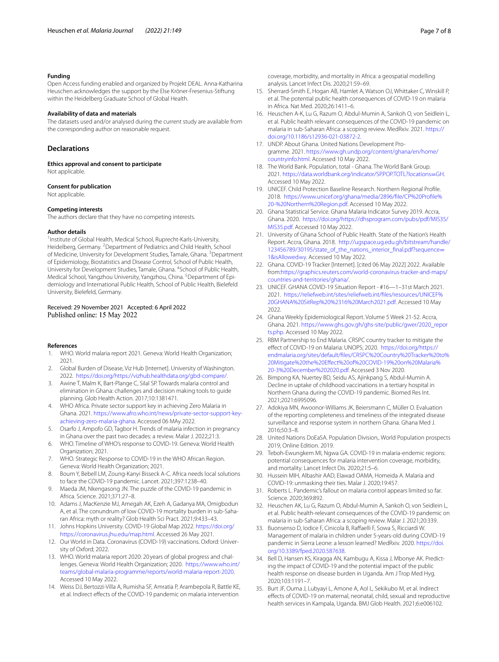#### **Funding**

Open Access funding enabled and organized by Projekt DEAL. Anna-Katharina Heuschen acknowledges the support by the Else Kröner-Fresenius-Stiftung within the Heidelberg Graduate School of Global Health.

#### **Availability of data and materials**

The datasets used and/or analysed during the current study are available from the corresponding author on reasonable request.

#### **Declarations**

**Ethics approval and consent to participate** Not applicable

#### **Consent for publication**

Not applicable.

#### **Competing interests**

The authors declare that they have no competing interests.

#### **Author details**

<sup>1</sup> Institute of Global Health, Medical School, Ruprecht-Karls-University, Heidelberg, Germany. <sup>2</sup> Department of Pediatrics and Child Health, School of Medicine, University for Development Studies, Tamale, Ghana. <sup>3</sup> Department of Epidemiology, Biostatistics and Disease Control, School of Public Health, University for Development Studies, Tamale, Ghana. <sup>4</sup>School of Public Health, Medical School, Yangzhou University, Yangzhou, China. <sup>5</sup> Department of Epidemiology and International Public Health, School of Public Health, Bielefeld University, Bielefeld, Germany.

#### Received: 29 November 2021 Accepted: 6 April 2022 Published online: 15 May 2022

#### **References**

- <span id="page-6-0"></span>1. WHO. World malaria report 2021. Geneva: World Health Organization; 2021.
- <span id="page-6-1"></span>2. Global Burden of Disease, Viz Hub [Internet]. University of Washington. 2022. [https://doi.org/https://vizhub.healthdata.org/gbd-compare/.](https://vizhub.healthdata.org/gbd-compare/)
- <span id="page-6-2"></span>3. Awine T, Malm K, Bart-Plange C, Silal SP. Towards malaria control and elimination in Ghana: challenges and decision making tools to guide planning. Glob Health Action. 2017;10:1381471.
- <span id="page-6-3"></span>4. WHO Africa. Private sector support key in achieving Zero Malaria in Ghana. 2021. [https://www.afro.who.int/news/private-sector-support-key](https://www.afro.who.int/news/private-sector-support-key-achieving-zero-malaria-ghana) [achieving-zero-malaria-ghana](https://www.afro.who.int/news/private-sector-support-key-achieving-zero-malaria-ghana). Accessed 06 MAy 2022.
- <span id="page-6-4"></span>5. Osarfo J, Ampofo GD, Tagbor H. Trends of malaria infection in pregnancy in Ghana over the past two decades: a review. Malar J. 2022;21:3.
- <span id="page-6-5"></span>6. WHO. Timeline of WHO's response to COVID-19. Geneva: World Health Organization; 2021.
- <span id="page-6-6"></span>7. WHO. Strategic Response to COVID-19 in the WHO African Region. Geneva: World Health Organization; 2021.
- <span id="page-6-7"></span>8. Boum Y, Bebell LM, Zoung-Kanyi Bisseck A-C. Africa needs local solutions to face the COVID-19 pandemic. Lancet. 2021;397:1238–40.
- <span id="page-6-8"></span>9. Maeda JM, Nkengasong JN. The puzzle of the COVID-19 pandemic in Africa. Science. 2021;371:27–8.
- <span id="page-6-9"></span>10. Adams J, MacKenzie MJ, Amegah AK, Ezeh A, Gadanya MA, Omigbodun A, et al. The conundrum of low COVID-19 mortality burden in sub-Saharan Africa: myth or reality? Glob Health Sci Pract. 2021;9:433–43.
- <span id="page-6-10"></span>11. Johns Hopkins University. COVID-19 Global Map 2022. [https://doi.org/](https://coronavirus.jhu.edu/map.html) [https://coronavirus.jhu.edu/map.html.](https://coronavirus.jhu.edu/map.html) Accessed 26 May 2021.
- <span id="page-6-11"></span>12. Our World in Data. Coronavirus (COVID-19) vaccinations. Oxford: University of Oxford; 2022.
- <span id="page-6-12"></span>13. WHO. World malaria report 2020: 20 years of global progress and chal‑ lenges. Geneva: World Health Organization; 2020. [https://www.who.int/](https://www.who.int/teams/global-malaria-programme/reports/world-malaria-report-2020) [teams/global-malaria-programme/reports/world-malaria-report-2020](https://www.who.int/teams/global-malaria-programme/reports/world-malaria-report-2020). Accessed 10 May 2022.
- <span id="page-6-13"></span>14. Weiss DJ, Bertozzi-Villa A, Rumisha SF, Amratia P, Arambepola R, Battle KE, et al. Indirect efects of the COVID-19 pandemic on malaria intervention

coverage, morbidity, and mortality in Africa: a geospatial modelling analysis. Lancet Infect Dis. 2020;21:59–69.

- <span id="page-6-14"></span>15. Sherrard-Smith E, Hogan AB, Hamlet A, Watson OJ, Whittaker C, Winskill P, et al. The potential public health consequences of COVID-19 on malaria in Africa. Nat Med. 2020;26:1411–6.
- <span id="page-6-15"></span>16. Heuschen A-K, Lu G, Razum O, Abdul-Mumin A, Sankoh O, von Seidlein L, et al. Public health relevant consequences of the COVID-19 pandemic on malaria in sub-Saharan Africa: a scoping review. MedRxiv. 2021. [https://](https://doi.org/10.1186/s12936-021-03872-2) [doi.org/10.1186/s12936-021-03872-2](https://doi.org/10.1186/s12936-021-03872-2).
- <span id="page-6-16"></span>17. UNDP. About Ghana. United Nations Development Programme. 2021. [https://www.gh.undp.org/content/ghana/en/home/](https://www.gh.undp.org/content/ghana/en/home/countryinfo.html) [countryinfo.html.](https://www.gh.undp.org/content/ghana/en/home/countryinfo.html) Accessed 10 May 2022.
- <span id="page-6-17"></span>18. The World Bank. Population, total - Ghana. The World Bank Group. 2021. [https://data.worldbank.org/indicator/SP.POP.TOTL?locations](https://data.worldbank.org/indicator/SP.POP.TOTL?locations=GH)=GH. Accessed 10 May 2022.
- <span id="page-6-18"></span>19. UNICEF. Child Protection Baseline Research. Northern Regional Profle. 2018. [https://www.unicef.org/ghana/media/2896/fle/CP%20Profle%](https://www.unicef.org/ghana/media/2896/file/CP%20Profile%20-%20Northern%20Region.pdf) [20-%20Northern%20Region.pdf.](https://www.unicef.org/ghana/media/2896/file/CP%20Profile%20-%20Northern%20Region.pdf) Accessed 10 May 2022.
- <span id="page-6-19"></span>20. Ghana Statistical Service. Ghana Malaria Indicator Survey 2019. Accra, Ghana. 2020. [https://doi.org/https://dhsprogram.com/pubs/pdf/MIS35/](https://dhsprogram.com/pubs/pdf/MIS35/MIS35.pdf) [MIS35.pdf](https://dhsprogram.com/pubs/pdf/MIS35/MIS35.pdf). Accessed 10 May 2022.
- <span id="page-6-20"></span>21. University of Ghana School of Public Health. State of the Nation's Health Report. Accra, Ghana. 2018. [http://ugspace.ug.edu.gh/bitstream/handle/](http://ugspace.ug.edu.gh/bitstream/handle/123456789/30195/state_of_the_nations_interior_final.pdf?sequence=1&isAllowed=y) 123456789/30195/state\_of\_the\_nations\_interior\_final.pdf?sequence= [1&isAllowed](http://ugspace.ug.edu.gh/bitstream/handle/123456789/30195/state_of_the_nations_interior_final.pdf?sequence=1&isAllowed=y)=y. Accessed 10 May 2022.
- <span id="page-6-21"></span>22. Ghana. COVID-19 Tracker [Internet]. [cited 06 May 2022] 2022. Available from[:https://graphics.reuters.com/world-coronavirus-tracker-and-maps/](https://graphics.reuters.com/world-coronavirus-tracker-and-maps/countries-and-territories/ghana/) [countries-and-territories/ghana/](https://graphics.reuters.com/world-coronavirus-tracker-and-maps/countries-and-territories/ghana/).
- <span id="page-6-22"></span>23. UNICEF. GHANA COVID-19 Situation Report - #16—1–31st March 2021. 2021. [https://reliefweb.int/sites/reliefweb.int/fles/resources/UNICEF%](https://reliefweb.int/sites/reliefweb.int/files/resources/UNICEF%20GHANA%20SitRep%20%2316%20March2021.pdf) [20GHANA%20SitRep%20%2316%20March2021.pdf](https://reliefweb.int/sites/reliefweb.int/files/resources/UNICEF%20GHANA%20SitRep%20%2316%20March2021.pdf). Accessed 10 May 2022.
- <span id="page-6-23"></span>24. Ghana Weekly Epidemiological Report. Volume 5 Week 21-52. Accra, Ghana. 2021. [https://www.ghs.gov.gh/ghs-site/public/gwer/2020\\_repor](https://www.ghs.gov.gh/ghs-site/public/gwer/2020_reports.php) [ts.php](https://www.ghs.gov.gh/ghs-site/public/gwer/2020_reports.php). Accessed 10 May 2022.
- <span id="page-6-24"></span>25. RBM Partnership to End Malaria. CRSPC country tracker to mitigate the efect of COVID-19 on Malaria: UNOPS; 2020. [https://doi.org/https://](https://endmalaria.org/sites/default/files/CRSPC%20Country%20Tracker%20to%20Mitigate%20the%20Effect%20of%20COVID-19%20on%20Malaria%20-3%20December%202020.pdf) [endmalaria.org/sites/default/fles/CRSPC%20Country%20Tracker%20to%](https://endmalaria.org/sites/default/files/CRSPC%20Country%20Tracker%20to%20Mitigate%20the%20Effect%20of%20COVID-19%20on%20Malaria%20-3%20December%202020.pdf) [20Mitigate%20the%20Efect%20of%20COVID-19%20on%20Malaria%](https://endmalaria.org/sites/default/files/CRSPC%20Country%20Tracker%20to%20Mitigate%20the%20Effect%20of%20COVID-19%20on%20Malaria%20-3%20December%202020.pdf) [20-3%20December%202020.pdf](https://endmalaria.org/sites/default/files/CRSPC%20Country%20Tracker%20to%20Mitigate%20the%20Effect%20of%20COVID-19%20on%20Malaria%20-3%20December%202020.pdf). Accessed 3 Nov 2020.
- <span id="page-6-25"></span>26. Bimpong KA, Nuertey BD, Seidu AS, Ajinkpang S, Abdul-Mumin A. Decline in uptake of childhood vaccinations in a tertiary hospital in Northern Ghana during the COVID-19 pandemic. Biomed Res Int. 2021;2021:6995096.
- <span id="page-6-26"></span>27. Adokiya MN, Awoonor-Williams JK, Beiersmann C, Müller O. Evaluation of the reporting completeness and timeliness of the integrated disease surveillance and response system in northern Ghana. Ghana Med J. 2016;50:3–8.
- <span id="page-6-27"></span>28. United Nations DoEaSA. Population Division,. World Population prospects 2019, Online Edition. 2019.
- <span id="page-6-28"></span>29. Teboh-Ewungkem MI, Ngwa GA. COVID-19 in malaria-endemic regions: potential consequences for malaria intervention coverage, morbidity, and mortality. Lancet Infect Dis. 2020;21:5–6.
- <span id="page-6-29"></span>30. Hussein MIH, Albashir AAD, Elawad OAMA, Homeida A. Malaria and COVID-19: unmasking their ties. Malar J. 2020;19:457.
- <span id="page-6-30"></span>31. Roberts L. Pandemic's fallout on malaria control appears limited so far. Science. 2020;369:892.
- <span id="page-6-31"></span>32. Heuschen AK, Lu G, Razum O, Abdul-Mumin A, Sankoh O, von Seidlein L, et al. Public health-relevant consequences of the COVID-19 pandemic on malaria in sub-Saharan Africa: a scoping review. Malar J. 2021;20:339.
- <span id="page-6-32"></span>33. Buonsenso D, Iodice F, Cinicola B, Raffaelli F, Sowa S, Ricciardi W. Management of malaria in children under 5-years-old during COVID-19 pandemic in Sierra Leone: a lesson learned? MedRxiv. 2020. [https://doi.](https://doi.org/10.3389/fped.2020.587638) [org/10.3389/fped.2020.587638](https://doi.org/10.3389/fped.2020.587638).
- 34. Bell D, Hansen KS, Kiragga AN, Kambugu A, Kissa J, Mbonye AK. Predicting the impact of COVID-19 and the potential impact of the public health response on disease burden in Uganda. Am J Trop Med Hyg. 2020;103:1191–7.
- 35. Burt JF, Ouma J, Lubyayi L, Amone A, Aol L, Sekikubo M, et al. Indirect efects of COVID-19 on maternal, neonatal, child, sexual and reproductive health services in Kampala, Uganda. BMJ Glob Health. 2021;6:e006102.